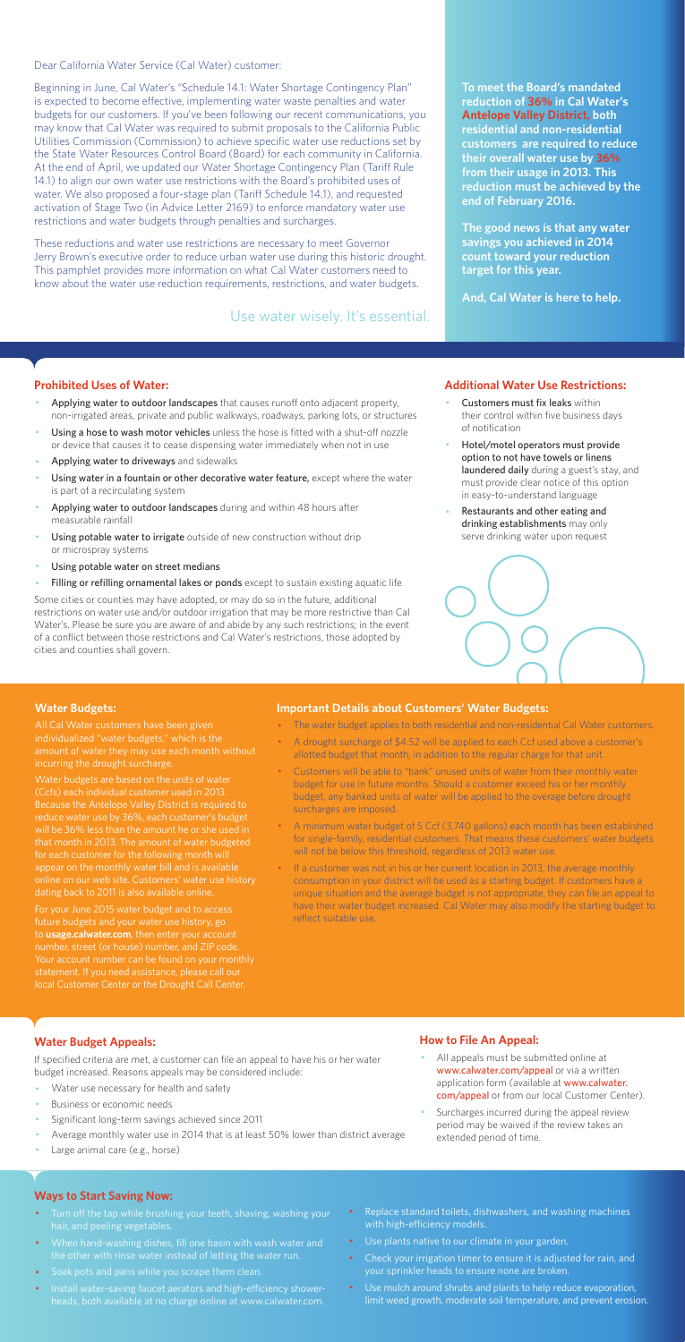Dear California Water Service (Cal Water) customer:

Beginning in June, Cal Water's "Schedule 14.1: Water Shortage Contingency Plan" is expected to become effective, implementing water waste penalties and water budgets for our customers. If you've been following our recent communications, you may know that Cal Water was required to submit proposals to the California Public Utilities Commission (Commission) to achieve specific water use reductions set by the State Water Resources Control Board (Board) for each community in California. At the end of April, we updated our Water Shortage Contingency Plan (Tariff Rule 14.1) to align our own water use restrictions with the Board's prohibited uses of water. We also proposed a four-stage plan (Tariff Schedule 14.1), and requested activation of Stage Two (in Advice Letter 2169) to enforce mandatory water use restrictions and water budgets through penalties and surcharges.

These reductions and water use restrictions are necessary to meet Governor Jerry Brown's executive order to reduce urban water use during this historic drought. This pamphlet provides more information on what Cal Water customers need to know about the water use reduction requirements, restrictions, and water budgets.

#### **Prohibited Uses of Water:**

- Applying water to outdoor landscapes that causes runoff onto adjacent property, non-irrigated areas, private and public walkways, roadways, parking lots, or structures
- Using a hose to wash motor vehicles unless the hose is fitted with a shut-off nozzle or device that causes it to cease dispensing water immediately when not in use
- Applying water to driveways and sidewalks
- Using water in a fountain or other decorative water feature, except where the water is part of a recirculating system
- Applying water to outdoor landscapes during and within 48 hours after measurable rainfall
- Using potable water to irrigate outside of new construction without drip or microspray systems
- Using potable water on street medians
- Filling or refilling ornamental lakes or ponds except to sustain existing aquatic life
- Customers must fix leaks within their control within five business days of notification
- Hotel/motel operators must provide option to not have towels or linens laundered daily during a guest's stay, and must provide clear notice of this option in easy-to-understand language
- Restaurants and other eating and drinking establishments may only serve drinking water upon request



- All appeals must be submitted online at www.calwater.com/appeal or via a written application form (available at www.calwater. com/appeal or from our local Customer Center).
- · Surcharges incurred during the appeal review period may be waived if the review takes an extended period of time.

Some cities or counties may have adopted, or may do so in the future, additional restrictions on water use and/or outdoor irrigation that may be more restrictive than Cal Water's. Please be sure you are aware of and abide by any such restrictions; in the event of a conflict between those restrictions and Cal Water's restrictions, those adopted by cities and counties shall govern.

- Turn off the tap while brushing your teeth, shaving, washing your hair, and peeling vegetables.
- · When hand-washing dishes, fill one basin with wash water and the other with rinse water instead of letting the water run.
- · Soak pots and pans while you scrape them clean.
- · Install water-saving faucet aerators and high-efficiency showerheads, both available at no charge online at www.calwater.com.
- Replace standard toilets, dishwashers, and washing machines with high-efficiency models.
- · Use plants native to our climate in your garden.
- Check your irrigation timer to ensure it is adjusted for rain, and your sprinkler heads to ensure none are broken.
- · Use mulch around shrubs and plants to help reduce evaporation, limit weed growth, moderate soil temperature, and prevent erosion.

**To meet the Board's mandated reduction of 36% in Cal Water's Antelope Valley District, both residential and non-residential customers are required to reduce their overall water use by 36% from their usage in 2013. This reduction must be achieved by the end of February 2016.** 

**The good news is that any water savings you achieved in 2014 count toward your reduction target for this year.** 

**And, Cal Water is here to help.** 

#### **Additional Water Use Restrictions:**

### **Water Budget Appeals:**

If specified criteria are met, a customer can file an appeal to have his or her water budget increased. Reasons appeals may be considered include:

- Water use necessary for health and safety
- Business or economic needs
- Significant long-term savings achieved since 2011
- Average monthly water use in 2014 that is at least 50% lower than district average
- Large animal care (e.g., horse)

If a customer was not in his or her current location in 2013, the average monthly consumption in your district will be used as a starting budget. If customers have a unique situation and the average budget is not appropriate, they can file an appeal to have their water budget increased. Cal Water may also modify the starting budget to reflect suitable use.

## **How to File An Appeal:**

#### **Ways to Start Saving Now:**

Use water wisely. It's essential.

#### **Water Budgets:**

individualized "water budgets," which is the incurring the drought surcharge.

Water budgets are based on the units of water Because the Antelope Valley District is required to reduce water use by 36%, each customer's budget that month in 2013. The amount of water budgeted for each customer for the following month will appear on the monthly water bill and is available dating back to 2011 is also available online.

For your June 2015 water budget and to access future budgets and your water use history, go to **usage.calwater.com**, then enter your account number, street (or house) number, and ZIP code. local Customer Center or the Drought Call Center.

#### **Important Details about Customers' Water Budgets:**

- · The water budget applies to both residential and non-residential Cal Water customers.
- A drought surcharge of \$4.52 will be applied to each Ccf used above a customer's allotted budget that month, in addition to the regular charge for that unit.
- · Customers will be able to "bank" unused units of water from their monthly water budget for use in future months. Should a customer exceed his or her monthly budget, any banked units of water will be applied to the overage before drought surcharges are imposed.
- · A minimum water budget of 5 Ccf (3,740 gallons) each month has been established for single-family, residential customers. That means these customers' water budgets will not be below this threshold, regardless of 2013 water use.